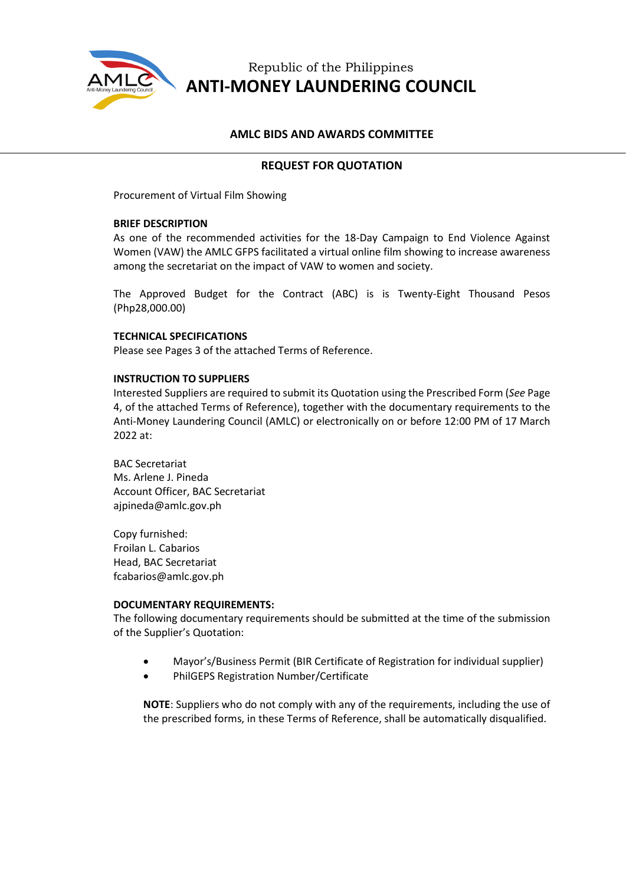

# Republic of the Philippines **ANTI-MONEY LAUNDERING COUNCIL**

# **AMLC BIDS AND AWARDS COMMITTEE**

# **REQUEST FOR QUOTATION**

Procurement of Virtual Film Showing

#### **BRIEF DESCRIPTION**

As one of the recommended activities for the 18-Day Campaign to End Violence Against Women (VAW) the AMLC GFPS facilitated a virtual online film showing to increase awareness among the secretariat on the impact of VAW to women and society.

The Approved Budget for the Contract (ABC) is is Twenty-Eight Thousand Pesos (Php28,000.00)

## **TECHNICAL SPECIFICATIONS**

Please see Pages 3 of the attached Terms of Reference.

#### **INSTRUCTION TO SUPPLIERS**

Interested Suppliers are required to submit its Quotation using the Prescribed Form (*See* Page 4, of the attached Terms of Reference), together with the documentary requirements to the Anti-Money Laundering Council (AMLC) or electronically on or before 12:00 PM of 17 March 2022 at:

BAC Secretariat Ms. Arlene J. Pineda Account Officer, BAC Secretariat ajpineda@amlc.gov.ph

Copy furnished: Froilan L. Cabarios Head, BAC Secretariat fcabarios@amlc.gov.ph

#### **DOCUMENTARY REQUIREMENTS:**

The following documentary requirements should be submitted at the time of the submission of the Supplier's Quotation:

- Mayor's/Business Permit (BIR Certificate of Registration for individual supplier)
- PhilGEPS Registration Number/Certificate

**NOTE**: Suppliers who do not comply with any of the requirements, including the use of the prescribed forms, in these Terms of Reference, shall be automatically disqualified.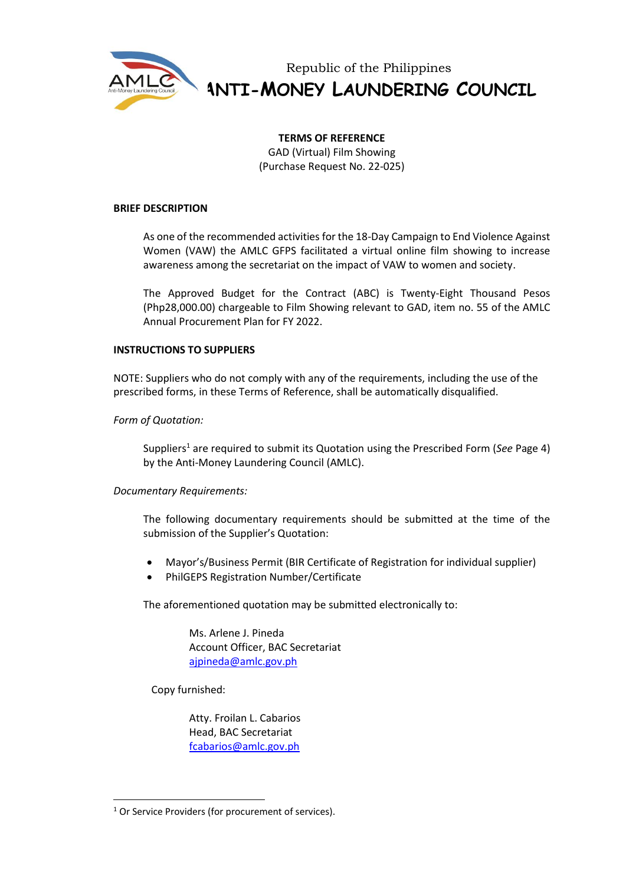

Republic of the Philippines **ANTI-MONEY LAUNDERING COUNCIL**

#### **TERMS OF REFERENCE**

GAD (Virtual) Film Showing (Purchase Request No. 22-025)

#### **BRIEF DESCRIPTION**

As one of the recommended activities for the 18-Day Campaign to End Violence Against Women (VAW) the AMLC GFPS facilitated a virtual online film showing to increase awareness among the secretariat on the impact of VAW to women and society.

The Approved Budget for the Contract (ABC) is Twenty-Eight Thousand Pesos (Php28,000.00) chargeable to Film Showing relevant to GAD, item no. 55 of the AMLC Annual Procurement Plan for FY 2022.

#### **INSTRUCTIONS TO SUPPLIERS**

NOTE: Suppliers who do not comply with any of the requirements, including the use of the prescribed forms, in these Terms of Reference, shall be automatically disqualified.

## *Form of Quotation:*

Suppliers<sup>1</sup> are required to submit its Quotation using the Prescribed Form (*See* Page 4) by the Anti-Money Laundering Council (AMLC).

## *Documentary Requirements:*

The following documentary requirements should be submitted at the time of the submission of the Supplier's Quotation:

- Mayor's/Business Permit (BIR Certificate of Registration for individual supplier)
- PhilGEPS Registration Number/Certificate

The aforementioned quotation may be submitted electronically to:

Ms. Arlene J. Pineda Account Officer, BAC Secretariat [ajpineda@amlc.gov.ph](mailto:ajpineda@amlc.gov.ph)

Copy furnished:

Atty. Froilan L. Cabarios Head, BAC Secretariat [fcabarios@amlc.gov.ph](mailto:fcabarios@amlc.gov.ph)

<sup>&</sup>lt;sup>1</sup> Or Service Providers (for procurement of services).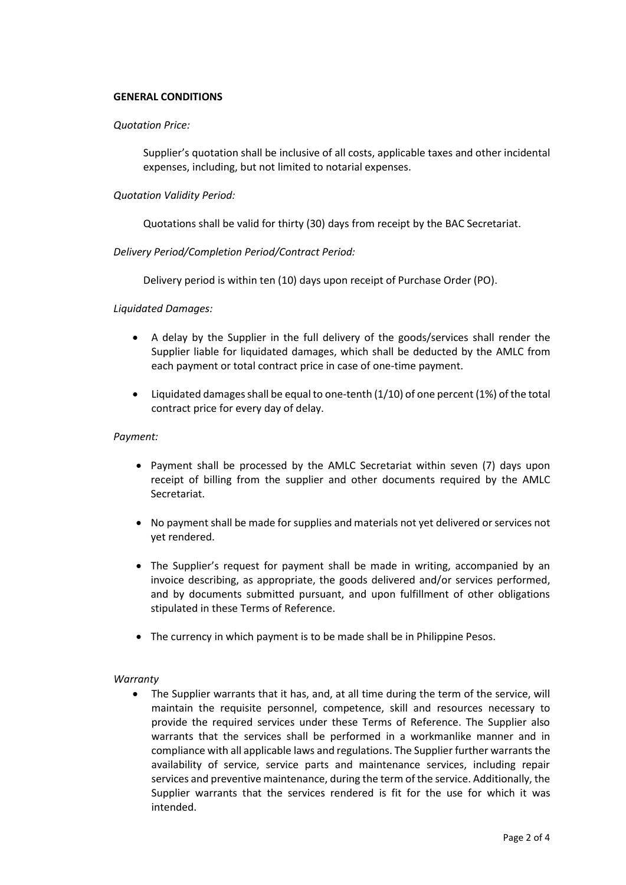#### **GENERAL CONDITIONS**

#### *Quotation Price:*

Supplier's quotation shall be inclusive of all costs, applicable taxes and other incidental expenses, including, but not limited to notarial expenses.

#### *Quotation Validity Period:*

Quotations shall be valid for thirty (30) days from receipt by the BAC Secretariat.

#### *Delivery Period/Completion Period/Contract Period:*

Delivery period is within ten (10) days upon receipt of Purchase Order (PO).

#### *Liquidated Damages:*

- A delay by the Supplier in the full delivery of the goods/services shall render the Supplier liable for liquidated damages, which shall be deducted by the AMLC from each payment or total contract price in case of one-time payment.
- Liquidated damages shall be equal to one-tenth  $(1/10)$  of one percent  $(1%)$  of the total contract price for every day of delay.

#### *Payment:*

- Payment shall be processed by the AMLC Secretariat within seven (7) days upon receipt of billing from the supplier and other documents required by the AMLC Secretariat.
- No payment shall be made for supplies and materials not yet delivered or services not yet rendered.
- The Supplier's request for payment shall be made in writing, accompanied by an invoice describing, as appropriate, the goods delivered and/or services performed, and by documents submitted pursuant, and upon fulfillment of other obligations stipulated in these Terms of Reference.
- The currency in which payment is to be made shall be in Philippine Pesos.

#### *Warranty*

• The Supplier warrants that it has, and, at all time during the term of the service, will maintain the requisite personnel, competence, skill and resources necessary to provide the required services under these Terms of Reference. The Supplier also warrants that the services shall be performed in a workmanlike manner and in compliance with all applicable laws and regulations. The Supplier further warrants the availability of service, service parts and maintenance services, including repair services and preventive maintenance, during the term of the service. Additionally, the Supplier warrants that the services rendered is fit for the use for which it was intended.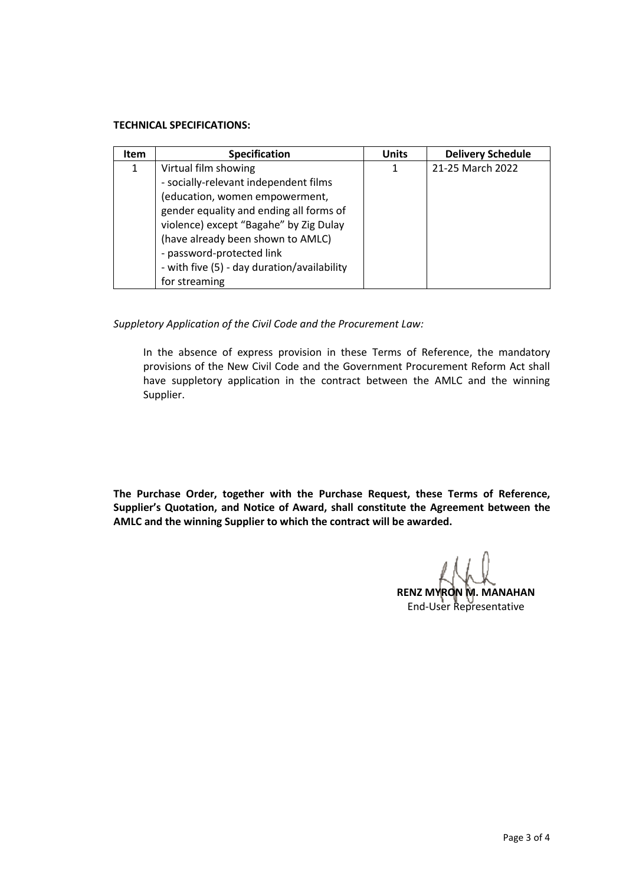## **TECHNICAL SPECIFICATIONS:**

| <b>Item</b> | <b>Specification</b>                        | <b>Units</b> | <b>Delivery Schedule</b> |
|-------------|---------------------------------------------|--------------|--------------------------|
| 1           | Virtual film showing                        | 1            | 21-25 March 2022         |
|             | - socially-relevant independent films       |              |                          |
|             | (education, women empowerment,              |              |                          |
|             | gender equality and ending all forms of     |              |                          |
|             | violence) except "Bagahe" by Zig Dulay      |              |                          |
|             | (have already been shown to AMLC)           |              |                          |
|             | - password-protected link                   |              |                          |
|             | - with five (5) - day duration/availability |              |                          |
|             | for streaming                               |              |                          |

*Suppletory Application of the Civil Code and the Procurement Law:*

In the absence of express provision in these Terms of Reference, the mandatory provisions of the New Civil Code and the Government Procurement Reform Act shall have suppletory application in the contract between the AMLC and the winning Supplier.

**The Purchase Order, together with the Purchase Request, these Terms of Reference, Supplier's Quotation, and Notice of Award, shall constitute the Agreement between the AMLC and the winning Supplier to which the contract will be awarded.**

**RENZ MYRON M. MANAHAN** End-User Representative